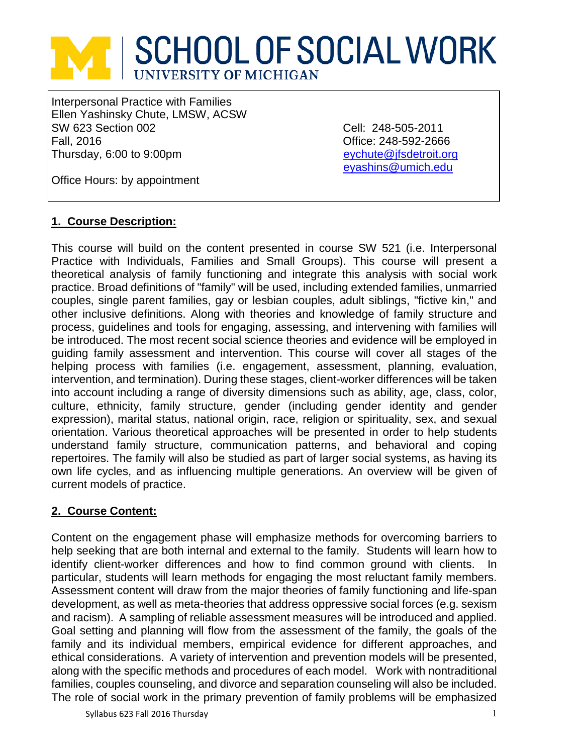# **SCHOOL OF SOCIAL WORK** UNIVERSITY OF MICHIGAN

Interpersonal Practice with Families Ellen Yashinsky Chute, LMSW, ACSW SW 623 Section 002 Cell: 248-505-2011 Fall, 2016 Office: 248-592-2666 Thursday, 6:00 to 9:00pm

[eyashins@umich.edu](mailto:eyashins@umich.edu)

Office Hours: by appointment

# **1. Course Description:**

This course will build on the content presented in course SW 521 (i.e. Interpersonal Practice with Individuals, Families and Small Groups). This course will present a theoretical analysis of family functioning and integrate this analysis with social work practice. Broad definitions of "family" will be used, including extended families, unmarried couples, single parent families, gay or lesbian couples, adult siblings, "fictive kin," and other inclusive definitions. Along with theories and knowledge of family structure and process, guidelines and tools for engaging, assessing, and intervening with families will be introduced. The most recent social science theories and evidence will be employed in guiding family assessment and intervention. This course will cover all stages of the helping process with families (i.e. engagement, assessment, planning, evaluation, intervention, and termination). During these stages, client-worker differences will be taken into account including a range of diversity dimensions such as ability, age, class, color, culture, ethnicity, family structure, gender (including gender identity and gender expression), marital status, national origin, race, religion or spirituality, sex, and sexual orientation. Various theoretical approaches will be presented in order to help students understand family structure, communication patterns, and behavioral and coping repertoires. The family will also be studied as part of larger social systems, as having its own life cycles, and as influencing multiple generations. An overview will be given of current models of practice.

# **2. Course Content:**

Content on the engagement phase will emphasize methods for overcoming barriers to help seeking that are both internal and external to the family. Students will learn how to identify client-worker differences and how to find common ground with clients. In particular, students will learn methods for engaging the most reluctant family members. Assessment content will draw from the major theories of family functioning and life-span development, as well as meta-theories that address oppressive social forces (e.g. sexism and racism). A sampling of reliable assessment measures will be introduced and applied. Goal setting and planning will flow from the assessment of the family, the goals of the family and its individual members, empirical evidence for different approaches, and ethical considerations. A variety of intervention and prevention models will be presented, along with the specific methods and procedures of each model. Work with nontraditional families, couples counseling, and divorce and separation counseling will also be included. The role of social work in the primary prevention of family problems will be emphasized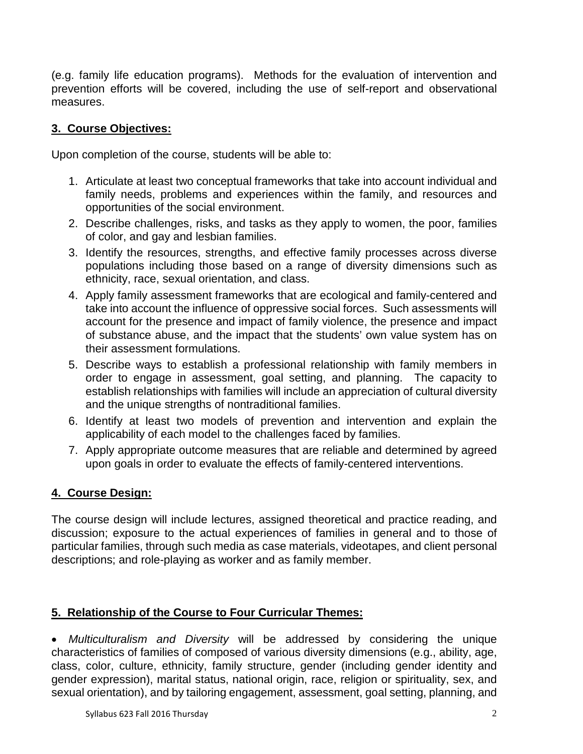(e.g. family life education programs). Methods for the evaluation of intervention and prevention efforts will be covered, including the use of self-report and observational measures.

# **3. Course Objectives:**

Upon completion of the course, students will be able to:

- 1. Articulate at least two conceptual frameworks that take into account individual and family needs, problems and experiences within the family, and resources and opportunities of the social environment.
- 2. Describe challenges, risks, and tasks as they apply to women, the poor, families of color, and gay and lesbian families.
- 3. Identify the resources, strengths, and effective family processes across diverse populations including those based on a range of diversity dimensions such as ethnicity, race, sexual orientation, and class.
- 4. Apply family assessment frameworks that are ecological and family-centered and take into account the influence of oppressive social forces. Such assessments will account for the presence and impact of family violence, the presence and impact of substance abuse, and the impact that the students' own value system has on their assessment formulations.
- 5. Describe ways to establish a professional relationship with family members in order to engage in assessment, goal setting, and planning. The capacity to establish relationships with families will include an appreciation of cultural diversity and the unique strengths of nontraditional families.
- 6. Identify at least two models of prevention and intervention and explain the applicability of each model to the challenges faced by families.
- 7. Apply appropriate outcome measures that are reliable and determined by agreed upon goals in order to evaluate the effects of family-centered interventions.

# **4. Course Design:**

The course design will include lectures, assigned theoretical and practice reading, and discussion; exposure to the actual experiences of families in general and to those of particular families, through such media as case materials, videotapes, and client personal descriptions; and role-playing as worker and as family member.

# **5. Relationship of the Course to Four Curricular Themes:**

• *Multiculturalism and Diversity* will be addressed by considering the unique characteristics of families of composed of various diversity dimensions (e.g., ability, age, class, color, culture, ethnicity, family structure, gender (including gender identity and gender expression), marital status, national origin, race, religion or spirituality, sex, and sexual orientation), and by tailoring engagement, assessment, goal setting, planning, and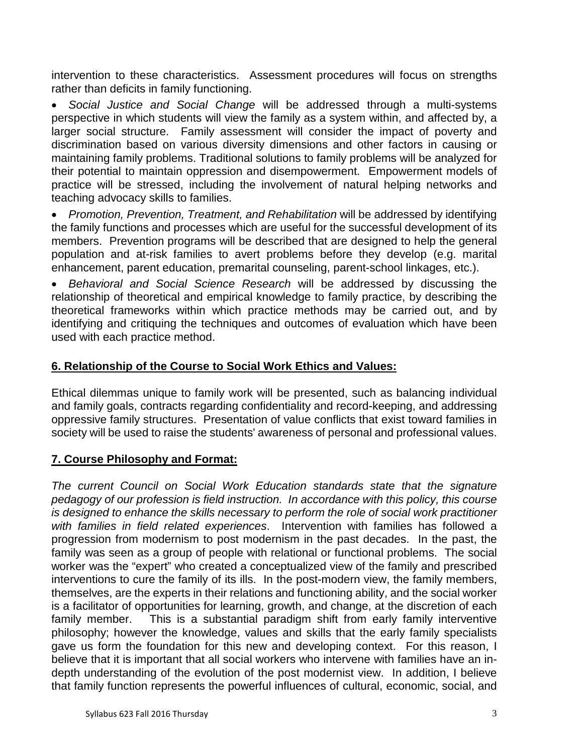intervention to these characteristics. Assessment procedures will focus on strengths rather than deficits in family functioning.

• *Social Justice and Social Change* will be addressed through a multi-systems perspective in which students will view the family as a system within, and affected by, a larger social structure. Family assessment will consider the impact of poverty and discrimination based on various diversity dimensions and other factors in causing or maintaining family problems. Traditional solutions to family problems will be analyzed for their potential to maintain oppression and disempowerment. Empowerment models of practice will be stressed, including the involvement of natural helping networks and teaching advocacy skills to families.

• *Promotion, Prevention, Treatment, and Rehabilitation* will be addressed by identifying the family functions and processes which are useful for the successful development of its members. Prevention programs will be described that are designed to help the general population and at-risk families to avert problems before they develop (e.g. marital enhancement, parent education, premarital counseling, parent-school linkages, etc.).

• *Behavioral and Social Science Research* will be addressed by discussing the relationship of theoretical and empirical knowledge to family practice, by describing the theoretical frameworks within which practice methods may be carried out, and by identifying and critiquing the techniques and outcomes of evaluation which have been used with each practice method.

# **6. Relationship of the Course to Social Work Ethics and Values:**

Ethical dilemmas unique to family work will be presented, such as balancing individual and family goals, contracts regarding confidentiality and record-keeping, and addressing oppressive family structures. Presentation of value conflicts that exist toward families in society will be used to raise the students' awareness of personal and professional values.

# **7. Course Philosophy and Format:**

*The current Council on Social Work Education standards state that the signature pedagogy of our profession is field instruction. In accordance with this policy, this course is designed to enhance the skills necessary to perform the role of social work practitioner with families in field related experiences*. Intervention with families has followed a progression from modernism to post modernism in the past decades. In the past, the family was seen as a group of people with relational or functional problems. The social worker was the "expert" who created a conceptualized view of the family and prescribed interventions to cure the family of its ills. In the post-modern view, the family members, themselves, are the experts in their relations and functioning ability, and the social worker is a facilitator of opportunities for learning, growth, and change, at the discretion of each family member. This is a substantial paradigm shift from early family interventive philosophy; however the knowledge, values and skills that the early family specialists gave us form the foundation for this new and developing context. For this reason, I believe that it is important that all social workers who intervene with families have an indepth understanding of the evolution of the post modernist view. In addition, I believe that family function represents the powerful influences of cultural, economic, social, and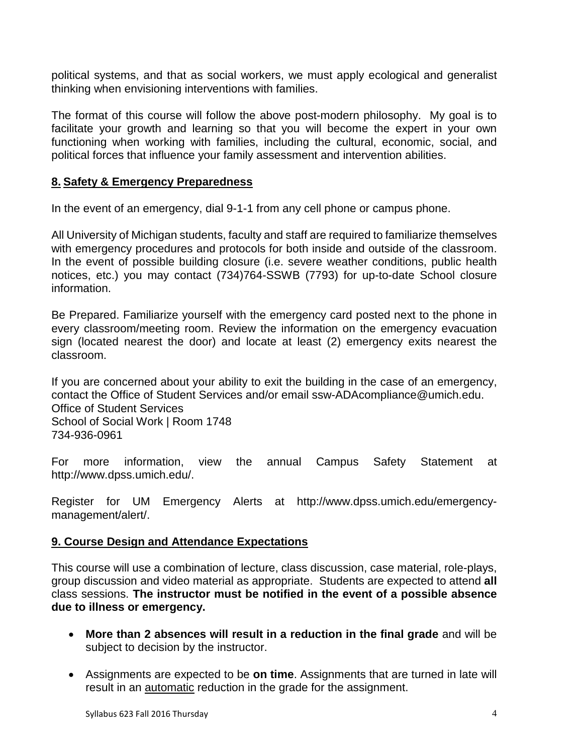political systems, and that as social workers, we must apply ecological and generalist thinking when envisioning interventions with families.

The format of this course will follow the above post-modern philosophy. My goal is to facilitate your growth and learning so that you will become the expert in your own functioning when working with families, including the cultural, economic, social, and political forces that influence your family assessment and intervention abilities.

## **8. Safety & Emergency Preparedness**

In the event of an emergency, dial 9-1-1 from any cell phone or campus phone.

All University of Michigan students, faculty and staff are required to familiarize themselves with emergency procedures and protocols for both inside and outside of the classroom. In the event of possible building closure (i.e. severe weather conditions, public health notices, etc.) you may contact (734)764-SSWB (7793) for up-to-date School closure information.

Be Prepared. Familiarize yourself with the emergency card posted next to the phone in every classroom/meeting room. Review the information on the emergency evacuation sign (located nearest the door) and locate at least (2) emergency exits nearest the classroom.

If you are concerned about your ability to exit the building in the case of an emergency, contact the Office of Student Services and/or email ssw-ADAcompliance@umich.edu. Office of Student Services School of Social Work | Room 1748 734-936-0961

For more information, view the annual Campus Safety Statement at http://www.dpss.umich.edu/.

Register for UM Emergency Alerts at http://www.dpss.umich.edu/emergencymanagement/alert/.

# **9. Course Design and Attendance Expectations**

This course will use a combination of lecture, class discussion, case material, role-plays, group discussion and video material as appropriate. Students are expected to attend **all** class sessions. **The instructor must be notified in the event of a possible absence due to illness or emergency.** 

- **More than 2 absences will result in a reduction in the final grade** and will be subject to decision by the instructor.
- Assignments are expected to be **on time**. Assignments that are turned in late will result in an automatic reduction in the grade for the assignment.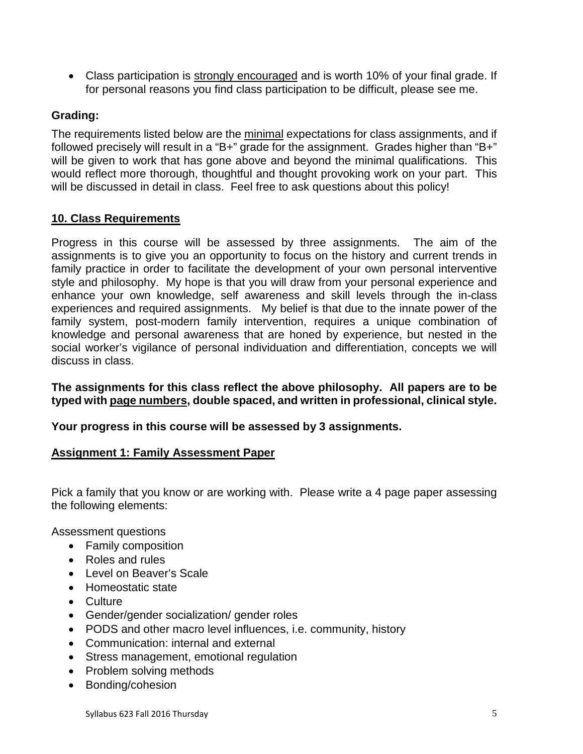• Class participation is strongly encouraged and is worth 10% of your final grade. If for personal reasons you find class participation to be difficult, please see me.

# **Grading:**

The requirements listed below are the minimal expectations for class assignments, and if followed precisely will result in a "B+" grade for the assignment. Grades higher than "B+" will be given to work that has gone above and beyond the minimal qualifications. This would reflect more thorough, thoughtful and thought provoking work on your part. This will be discussed in detail in class. Feel free to ask questions about this policy!

# **10. Class Requirements**

Progress in this course will be assessed by three assignments. The aim of the assignments is to give you an opportunity to focus on the history and current trends in family practice in order to facilitate the development of your own personal interventive style and philosophy. My hope is that you will draw from your personal experience and enhance your own knowledge, self awareness and skill levels through the in-class experiences and required assignments. My belief is that due to the innate power of the family system, post-modern family intervention, requires a unique combination of knowledge and personal awareness that are honed by experience, but nested in the social worker's vigilance of personal individuation and differentiation, concepts we will discuss in class.

**The assignments for this class reflect the above philosophy. All papers are to be typed with page numbers, double spaced, and written in professional, clinical style.**

# **Your progress in this course will be assessed by 3 assignments.**

## **Assignment 1: Family Assessment Paper**

Pick a family that you know or are working with. Please write a 4 page paper assessing the following elements:

Assessment questions

- Family composition
- Roles and rules
- Level on Beaver's Scale
- Homeostatic state
- Culture
- Gender/gender socialization/ gender roles
- PODS and other macro level influences, i.e. community, history
- Communication: internal and external
- Stress management, emotional regulation
- Problem solving methods
- Bonding/cohesion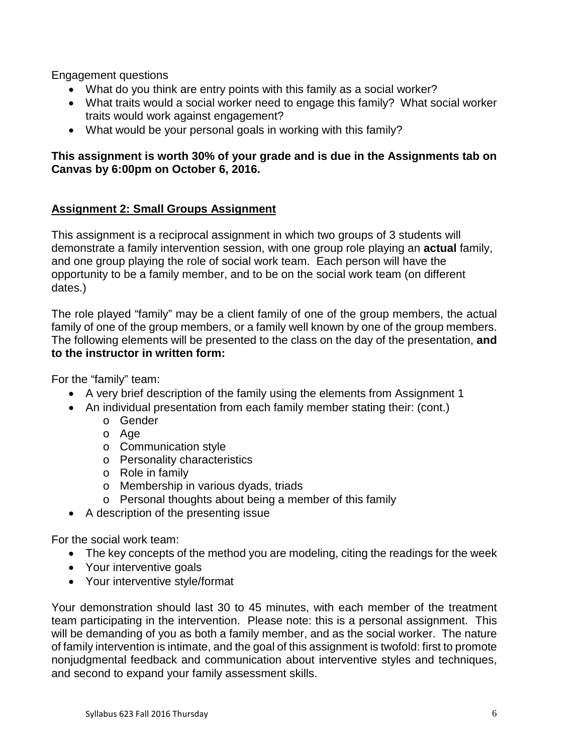Engagement questions

- What do you think are entry points with this family as a social worker?
- What traits would a social worker need to engage this family? What social worker traits would work against engagement?
- What would be your personal goals in working with this family?

# **This assignment is worth 30% of your grade and is due in the Assignments tab on Canvas by 6:00pm on October 6, 2016.**

## **Assignment 2: Small Groups Assignment**

This assignment is a reciprocal assignment in which two groups of 3 students will demonstrate a family intervention session, with one group role playing an **actual** family, and one group playing the role of social work team. Each person will have the opportunity to be a family member, and to be on the social work team (on different dates.)

The role played "family" may be a client family of one of the group members, the actual family of one of the group members, or a family well known by one of the group members. The following elements will be presented to the class on the day of the presentation, **and to the instructor in written form:**

For the "family" team:

- A very brief description of the family using the elements from Assignment 1
- An individual presentation from each family member stating their: (cont.)
	- o Gender
	- o Age
	- o Communication style
	- o Personality characteristics
	- o Role in family
	- o Membership in various dyads, triads
	- o Personal thoughts about being a member of this family
- A description of the presenting issue

For the social work team:

- The key concepts of the method you are modeling, citing the readings for the week
- Your interventive goals
- Your interventive style/format

Your demonstration should last 30 to 45 minutes, with each member of the treatment team participating in the intervention. Please note: this is a personal assignment. This will be demanding of you as both a family member, and as the social worker. The nature of family intervention is intimate, and the goal of this assignment is twofold: first to promote nonjudgmental feedback and communication about interventive styles and techniques, and second to expand your family assessment skills.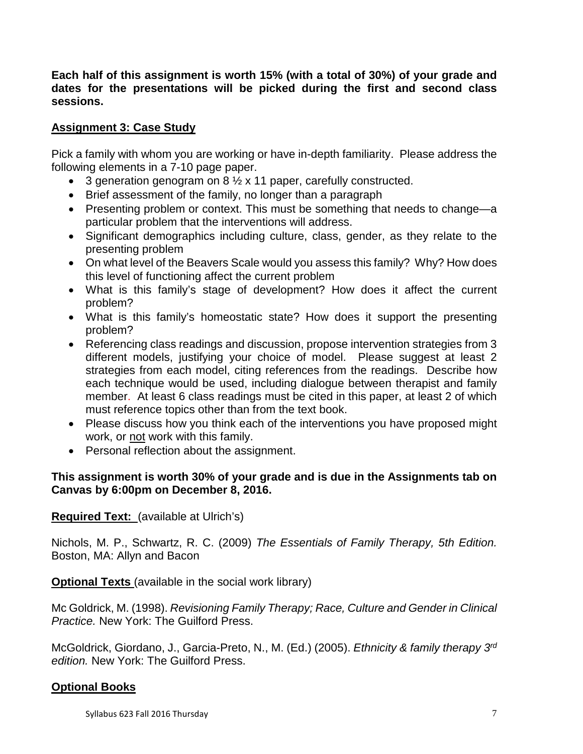**Each half of this assignment is worth 15% (with a total of 30%) of your grade and dates for the presentations will be picked during the first and second class sessions.** 

# **Assignment 3: Case Study**

Pick a family with whom you are working or have in-depth familiarity. Please address the following elements in a 7-10 page paper.

- 3 generation genogram on 8 ½ x 11 paper, carefully constructed.
- Brief assessment of the family, no longer than a paragraph
- Presenting problem or context. This must be something that needs to change—a particular problem that the interventions will address.
- Significant demographics including culture, class, gender, as they relate to the presenting problem
- On what level of the Beavers Scale would you assess this family? Why? How does this level of functioning affect the current problem
- What is this family's stage of development? How does it affect the current problem?
- What is this family's homeostatic state? How does it support the presenting problem?
- Referencing class readings and discussion, propose intervention strategies from 3 different models, justifying your choice of model. Please suggest at least 2 strategies from each model, citing references from the readings. Describe how each technique would be used, including dialogue between therapist and family member. At least 6 class readings must be cited in this paper, at least 2 of which must reference topics other than from the text book.
- Please discuss how you think each of the interventions you have proposed might work, or not work with this family.
- Personal reflection about the assignment.

# **This assignment is worth 30% of your grade and is due in the Assignments tab on Canvas by 6:00pm on December 8, 2016.**

**Required Text:** (available at Ulrich's)

Nichols, M. P., Schwartz, R. C. (2009) *The Essentials of Family Therapy, 5th Edition.*  Boston, MA: Allyn and Bacon

**Optional Texts** (available in the social work library)

Mc Goldrick, M. (1998). *Revisioning Family Therapy; Race, Culture and Gender in Clinical Practice.* New York: The Guilford Press.

McGoldrick, Giordano, J., Garcia-Preto, N., M. (Ed.) (2005). *Ethnicity & family therapy 3rd edition.* New York: The Guilford Press.

# **Optional Books**

Syllabus 623 Fall 2016 Thursday 7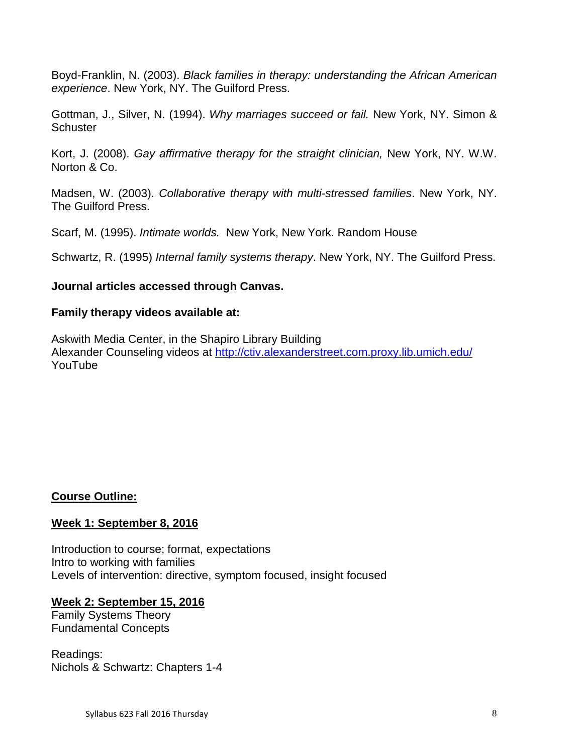Boyd-Franklin, N. (2003). *Black families in therapy: understanding the African American experience*. New York, NY. The Guilford Press.

Gottman, J., Silver, N. (1994). *Why marriages succeed or fail.* New York, NY. Simon & **Schuster** 

Kort, J. (2008). *Gay affirmative therapy for the straight clinician,* New York, NY. W.W. Norton & Co.

Madsen, W. (2003). *Collaborative therapy with multi-stressed families*. New York, NY. The Guilford Press.

Scarf, M. (1995). *Intimate worlds.* New York, New York. Random House

Schwartz, R. (1995) *Internal family systems therapy*. New York, NY. The Guilford Press.

## **Journal articles accessed through Canvas.**

## **Family therapy videos available at:**

Askwith Media Center, in the Shapiro Library Building Alexander Counseling videos at<http://ctiv.alexanderstreet.com.proxy.lib.umich.edu/> YouTube

## **Course Outline:**

## **Week 1: September 8, 2016**

Introduction to course; format, expectations Intro to working with families Levels of intervention: directive, symptom focused, insight focused

## **Week 2: September 15, 2016**

Family Systems Theory Fundamental Concepts

Readings: Nichols & Schwartz: Chapters 1-4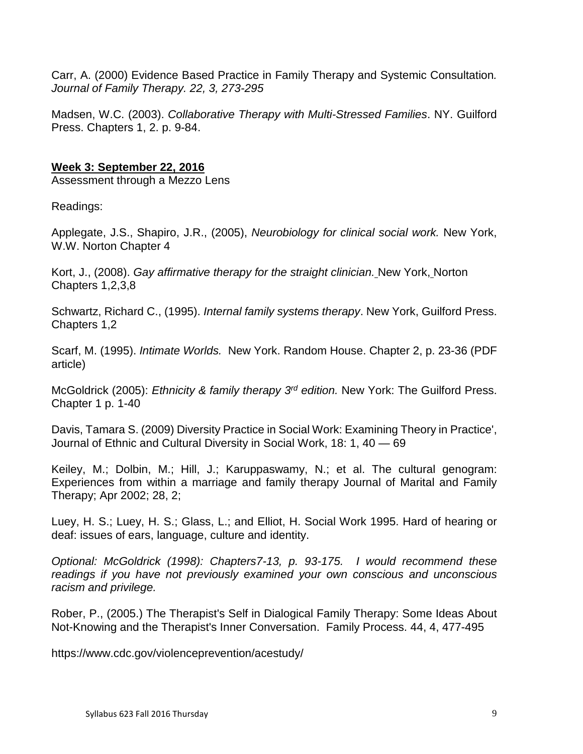Carr, A. (2000) Evidence Based Practice in Family Therapy and Systemic Consultation*. Journal of Family Therapy. 22, 3, 273-295*

Madsen, W.C. (2003). *Collaborative Therapy with Multi-Stressed Families*. NY. Guilford Press. Chapters 1, 2. p. 9-84.

# **Week 3: September 22, 2016**

Assessment through a Mezzo Lens

Readings:

Applegate, J.S., Shapiro, J.R., (2005), *Neurobiology for clinical social work.* New York, W.W. Norton Chapter 4

Kort, J., (2008). *Gay affirmative therapy for the straight clinician.* New York, Norton Chapters 1,2,3,8

Schwartz, Richard C., (1995). *Internal family systems therapy*. New York, Guilford Press. Chapters 1,2

Scarf, M. (1995). *Intimate Worlds.* New York. Random House. Chapter 2, p. 23-36 (PDF article)

McGoldrick (2005): *Ethnicity & family therapy 3rd edition.* New York: The Guilford Press. Chapter 1 p. 1-40

Davis, Tamara S. (2009) Diversity Practice in Social Work: Examining Theory in Practice', Journal of Ethnic and Cultural Diversity in Social Work, 18: 1, 40 — 69

Keiley, M.; Dolbin, M.; Hill, J.; Karuppaswamy, N.; et al. The cultural genogram: Experiences from within a marriage and family therapy Journal of Marital and Family Therapy; Apr 2002; 28, 2;

Luey, H. S.; Luey, H. S.; Glass, L.; and Elliot, H. Social Work 1995. Hard of hearing or deaf: issues of ears, language, culture and identity.

*Optional: McGoldrick (1998): Chapters7-13, p. 93-175. I would recommend these readings if you have not previously examined your own conscious and unconscious racism and privilege.* 

Rober, P., (2005.) The Therapist's Self in Dialogical Family Therapy: Some Ideas About Not-Knowing and the Therapist's Inner Conversation. Family Process. 44, 4, 477-495

https://www.cdc.gov/violenceprevention/acestudy/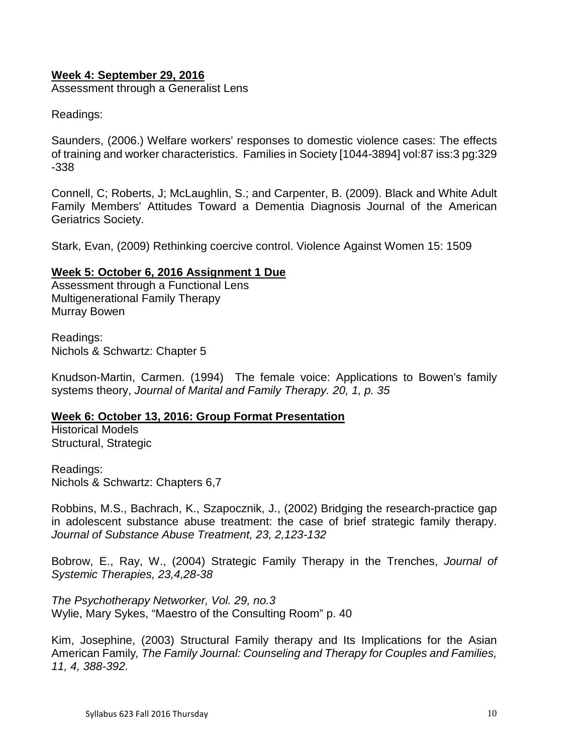## **Week 4: September 29, 2016**

Assessment through a Generalist Lens

Readings:

Saunders, (2006.) Welfare workers' responses to domestic violence cases: The effects of training and worker characteristics. Families in Society [1044-3894] vol:87 iss:3 pg:329 -338

Connell, C; Roberts, J; McLaughlin, S.; and Carpenter, B. (2009). [Black and White Adult](http://proxy.lib.umich.edu/login?url=http://sfx.lib.umich.edu:9003/sfx_local?url_ver=Z39.88-2004&url_ctx_fmt=info%3Aofi%2Ffmt%3Akev%3Amtx%3Actx&rft_val_fmt=info%3Aofi%2Ffmt%3Akev%3Amtx%3Ajournal&rft.genre=article&rft.aulast=Connell&rft.aufirst=Cathleen+M&rft.au=J+Scott+Roberts&rft.au=Sara+J+McLaughlin&rft.au=Brian+D+Carpenter&rft.atitle=Black+and+White+Adult+Family+Members%27+Attitudes+Toward+a+Dementia+Diagnosis&rft.jtitle=Journal+of+the+American+Geriatrics+Society&rft.date=2009)  [Family Members' Attitudes Toward a Dementia Diagnosis](http://proxy.lib.umich.edu/login?url=http://sfx.lib.umich.edu:9003/sfx_local?url_ver=Z39.88-2004&url_ctx_fmt=info%3Aofi%2Ffmt%3Akev%3Amtx%3Actx&rft_val_fmt=info%3Aofi%2Ffmt%3Akev%3Amtx%3Ajournal&rft.genre=article&rft.aulast=Connell&rft.aufirst=Cathleen+M&rft.au=J+Scott+Roberts&rft.au=Sara+J+McLaughlin&rft.au=Brian+D+Carpenter&rft.atitle=Black+and+White+Adult+Family+Members%27+Attitudes+Toward+a+Dementia+Diagnosis&rft.jtitle=Journal+of+the+American+Geriatrics+Society&rft.date=2009) Journal of the American Geriatrics Society.

Stark, Evan, (2009) Rethinking coercive control. Violence Against Women 15: 1509

#### **Week 5: October 6, 2016 Assignment 1 Due**

Assessment through a Functional Lens Multigenerational Family Therapy Murray Bowen

Readings: Nichols & Schwartz: Chapter 5

Knudson-Martin, Carmen. (1994) The female voice: Applications to Bowen's family systems theory, *Journal of Marital and Family Therapy. 20, 1, p. 35* 

#### **Week 6: October 13, 2016: Group Format Presentation**

Historical Models Structural, Strategic

Readings: Nichols & Schwartz: Chapters 6,7

Robbins, M.S., Bachrach, K., Szapocznik, J., (2002) Bridging the research-practice gap in adolescent substance abuse treatment: the case of brief strategic family therapy. *Journal of Substance Abuse Treatment, 23, 2,123-132*

Bobrow, E., Ray, W., (2004) Strategic Family Therapy in the Trenches, *Journal of Systemic Therapies, 23,4,28-38*

*The Psychotherapy Networker, Vol. 29, no.3* Wylie, Mary Sykes, "Maestro of the Consulting Room" p. 40

Kim, Josephine, (2003) Structural Family therapy and Its Implications for the Asian American Family*, The Family Journal: Counseling and Therapy for Couples and Families, 11, 4, 388-392.*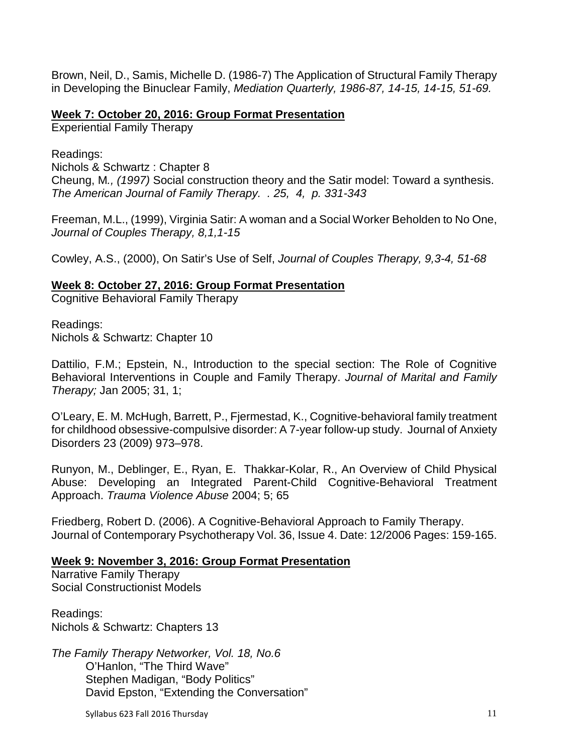Brown, Neil, D., Samis, Michelle D. (1986-7) The Application of Structural Family Therapy in Developing the Binuclear Family, *Mediation Quarterly, 1986-87, 14-15, 14-15, 51-69.*

## **Week 7: October 20, 2016: Group Format Presentation**

Experiential Family Therapy

Readings:

Nichols & Schwartz : Chapter 8 Cheung, M*., (1997)* Social construction theory and the Satir model: Toward a synthesis. *The American Journal of Family Therapy. . 25, 4, p. 331-343* 

Freeman, M.L., (1999), Virginia Satir: A woman and a Social Worker Beholden to No One, *Journal of Couples Therapy, 8,1,1-15*

Cowley, A.S., (2000), On Satir's Use of Self, *Journal of Couples Therapy, 9,3-4, 51-68*

## **Week 8: October 27, 2016: Group Format Presentation**

Cognitive Behavioral Family Therapy

Readings: Nichols & Schwartz: Chapter 10

Dattilio, F.M.; Epstein, N., Introduction to the special section: The Role of Cognitive Behavioral Interventions in Couple and Family Therapy. *Journal of Marital and Family Therapy;* Jan 2005; 31, 1;

O'Leary, E. M. McHugh, Barrett, P., Fjermestad, K., Cognitive-behavioral family treatment for childhood obsessive-compulsive disorder: A 7-year follow-up study. Journal of Anxiety Disorders 23 (2009) 973–978.

Runyon, M., Deblinger, E., Ryan, E. Thakkar-Kolar, R., An Overview of Child Physical Abuse: Developing an Integrated Parent-Child Cognitive-Behavioral Treatment Approach. *Trauma Violence Abuse* 2004; 5; 65

Friedberg, Robert D. (2006). A Cognitive-Behavioral Approach to Family Therapy. Journal of Contemporary Psychotherapy Vol. 36, Issue 4. Date: 12/2006 Pages: 159-165.

## **Week 9: November 3, 2016: Group Format Presentation**

Narrative Family Therapy Social Constructionist Models

Readings: Nichols & Schwartz: Chapters 13

*The Family Therapy Networker, Vol. 18, No.6* O'Hanlon, "The Third Wave" Stephen Madigan, "Body Politics" David Epston, "Extending the Conversation"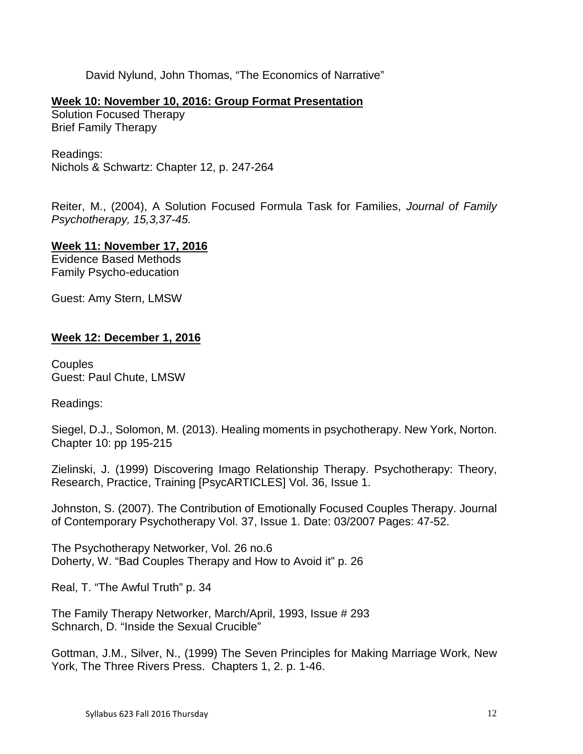David Nylund, John Thomas, "The Economics of Narrative"

## **Week 10: November 10, 2016: Group Format Presentation**

Solution Focused Therapy Brief Family Therapy

Readings: Nichols & Schwartz: Chapter 12, p. 247-264

Reiter, M., (2004), A Solution Focused Formula Task for Families, *Journal of Family Psychotherapy, 15,3,37-45.*

**Week 11: November 17, 2016**

Evidence Based Methods Family Psycho-education

Guest: Amy Stern, LMSW

## **Week 12: December 1, 2016**

**Couples** Guest: Paul Chute, LMSW

Readings:

Siegel, D.J., Solomon, M. (2013). Healing moments in psychotherapy. New York, Norton. Chapter 10: pp 195-215

Zielinski, J. (1999) Discovering Imago Relationship Therapy. Psychotherapy: Theory, Research, Practice, Training [PsycARTICLES] Vol. 36, Issue 1.

Johnston, S. (2007). The Contribution of Emotionally Focused Couples Therapy. Journal of Contemporary Psychotherapy Vol. 37, Issue 1. Date: 03/2007 Pages: 47-52.

The Psychotherapy Networker, Vol. 26 no.6 Doherty, W. "Bad Couples Therapy and How to Avoid it" p. 26

Real, T. "The Awful Truth" p. 34

The Family Therapy Networker, March/April, 1993, Issue # 293 Schnarch, D. "Inside the Sexual Crucible"

Gottman, J.M., Silver, N., (1999) The Seven Principles for Making Marriage Work, New York, The Three Rivers Press. Chapters 1, 2. p. 1-46.